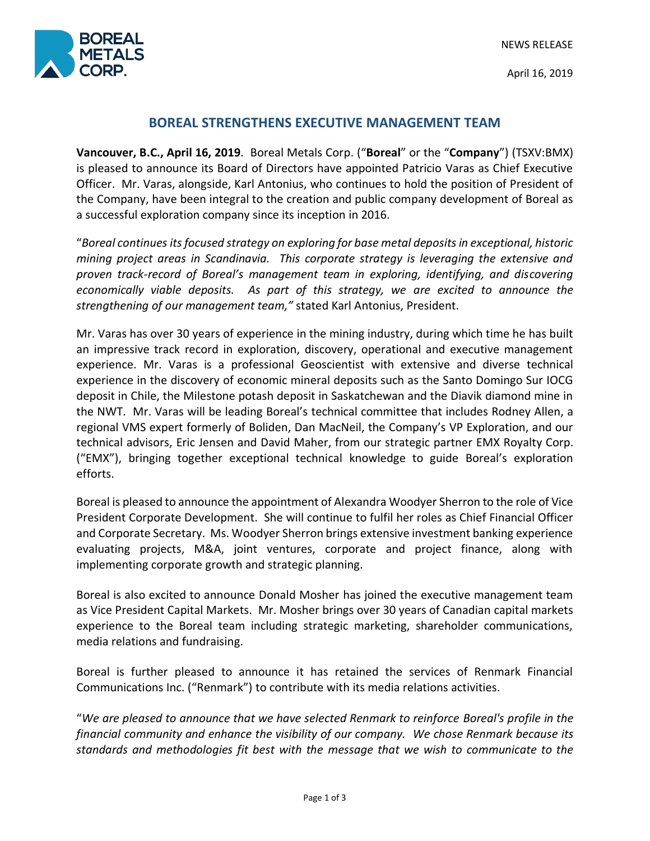NEWS RELEASE



April 16, 2019

# **BOREAL STRENGTHENS EXECUTIVE MANAGEMENT TEAM**

**Vancouver, B.C., April 16, 2019**. Boreal Metals Corp. ("**Boreal**" or the "**Company**") (TSXV:BMX) is pleased to announce its Board of Directors have appointed Patricio Varas as Chief Executive Officer. Mr. Varas, alongside, Karl Antonius, who continues to hold the position of President of the Company, have been integral to the creation and public company development of Boreal as a successful exploration company since its inception in 2016.

"*Boreal continues itsfocused strategy on exploring for base metal deposits in exceptional, historic mining project areas in Scandinavia. This corporate strategy is leveraging the extensive and proven track-record of Boreal's management team in exploring, identifying, and discovering economically viable deposits. As part of this strategy, we are excited to announce the strengthening of our management team,"* stated Karl Antonius, President.

Mr. Varas has over 30 years of experience in the mining industry, during which time he has built an impressive track record in exploration, discovery, operational and executive management experience. Mr. Varas is a professional Geoscientist with extensive and diverse technical experience in the discovery of economic mineral deposits such as the Santo Domingo Sur IOCG deposit in Chile, the Milestone potash deposit in Saskatchewan and the Diavik diamond mine in the NWT. Mr. Varas will be leading Boreal's technical committee that includes Rodney Allen, a regional VMS expert formerly of Boliden, Dan MacNeil, the Company's VP Exploration, and our technical advisors, Eric Jensen and David Maher, from our strategic partner EMX Royalty Corp. ("EMX"), bringing together exceptional technical knowledge to guide Boreal's exploration efforts.

Boreal is pleased to announce the appointment of Alexandra Woodyer Sherron to the role of Vice President Corporate Development. She will continue to fulfil her roles as Chief Financial Officer and Corporate Secretary. Ms. Woodyer Sherron brings extensive investment banking experience evaluating projects, M&A, joint ventures, corporate and project finance, along with implementing corporate growth and strategic planning.

Boreal is also excited to announce Donald Mosher has joined the executive management team as Vice President Capital Markets. Mr. Mosher brings over 30 years of Canadian capital markets experience to the Boreal team including strategic marketing, shareholder communications, media relations and fundraising.

Boreal is further pleased to announce it has retained the services of Renmark Financial Communications Inc. ("Renmark") to contribute with its media relations activities.

"*We are pleased to announce that we have selected Renmark to reinforce Boreal's profile in the financial community and enhance the visibility of our company. We chose Renmark because its standards and methodologies fit best with the message that we wish to communicate to the*